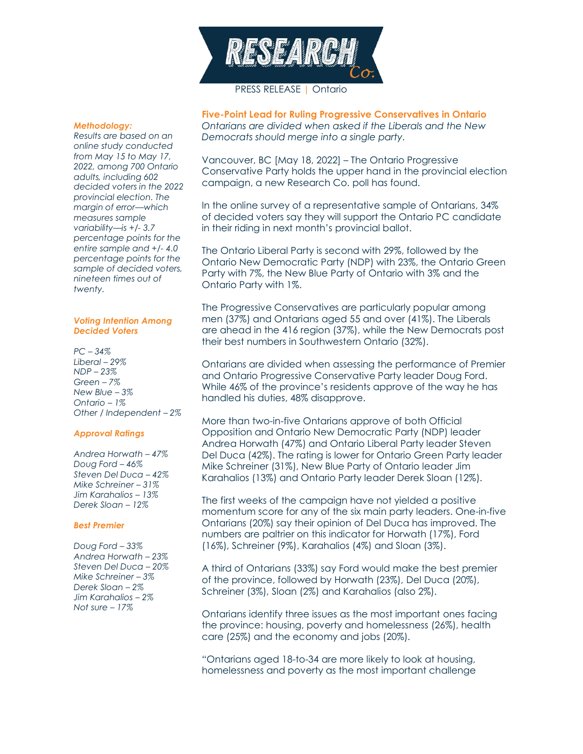

## PRESS RELEASE | Ontario

#### *Methodology:*

*Results are based on an online study conducted from May 15 to May 17, 2022, among 700 Ontario adults, including 602 decided voters in the 2022 provincial election. The margin of error—which measures sample variability—is +/- 3.7 percentage points for the entire sample and +/- 4.0 percentage points for the sample of decided voters, nineteen times out of twenty.*

#### *Voting Intention Among Decided Voters*

*PC – 34% Liberal – 29% NDP – 23% Green – 7% New Blue – 3% Ontario – 1% Other / Independent – 2%*

## *Approval Ratings*

*Andrea Horwath – 47% Doug Ford – 46% Steven Del Duca – 42% Mike Schreiner – 31% Jim Karahalios – 13% Derek Sloan – 12%*

## *Best Premier*

*Doug Ford – 33% Andrea Horwath – 23% Steven Del Duca – 20% Mike Schreiner – 3% Derek Sloan – 2% Jim Karahalios – 2% Not sure – 17%*

**Five-Point Lead for Ruling Progressive Conservatives in Ontario** *Ontarians are divided when asked if the Liberals and the New Democrats should merge into a single party.*

Vancouver, BC [May 18, 2022] – The Ontario Progressive Conservative Party holds the upper hand in the provincial election campaign, a new Research Co. poll has found.

In the online survey of a representative sample of Ontarians, 34% of decided voters say they will support the Ontario PC candidate in their riding in next month's provincial ballot.

The Ontario Liberal Party is second with 29%, followed by the Ontario New Democratic Party (NDP) with 23%, the Ontario Green Party with 7%, the New Blue Party of Ontario with 3% and the Ontario Party with 1%.

The Progressive Conservatives are particularly popular among men (37%) and Ontarians aged 55 and over (41%). The Liberals are ahead in the 416 region (37%), while the New Democrats post their best numbers in Southwestern Ontario (32%).

Ontarians are divided when assessing the performance of Premier and Ontario Progressive Conservative Party leader Doug Ford. While 46% of the province's residents approve of the way he has handled his duties, 48% disapprove.

More than two-in-five Ontarians approve of both Official Opposition and Ontario New Democratic Party (NDP) leader Andrea Horwath (47%) and Ontario Liberal Party leader Steven Del Duca (42%). The rating is lower for Ontario Green Party leader Mike Schreiner (31%), New Blue Party of Ontario leader Jim Karahalios (13%) and Ontario Party leader Derek Sloan (12%).

The first weeks of the campaign have not yielded a positive momentum score for any of the six main party leaders. One-in-five Ontarians (20%) say their opinion of Del Duca has improved. The numbers are paltrier on this indicator for Horwath (17%), Ford (16%), Schreiner (9%), Karahalios (4%) and Sloan (3%).

A third of Ontarians (33%) say Ford would make the best premier of the province, followed by Horwath (23%), Del Duca (20%), Schreiner (3%), Sloan (2%) and Karahalios (also 2%).

Ontarians identify three issues as the most important ones facing the province: housing, poverty and homelessness (26%), health care (25%) and the economy and jobs (20%).

"Ontarians aged 18-to-34 are more likely to look at housing, homelessness and poverty as the most important challenge